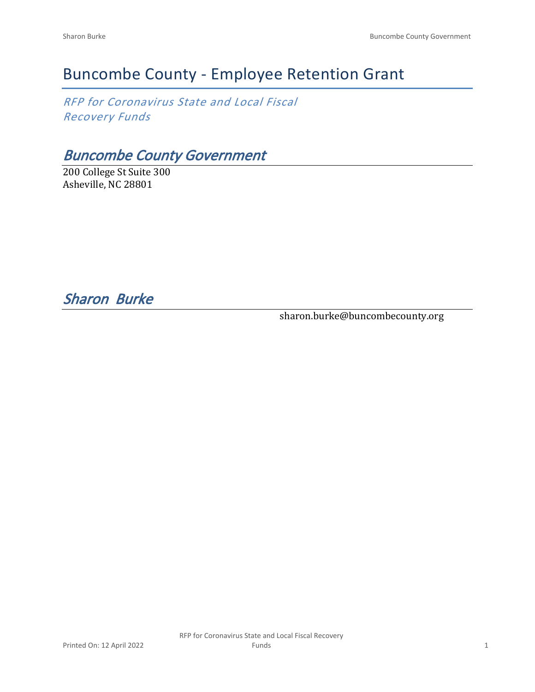# Buncombe County - Employee Retention Grant

*RFP for Coronavirus State and Local Fiscal Recovery Funds*

*Buncombe County Government*

200 College St Suite 300 Asheville, NC 28801

*Sharon Burke* 

sharon.burke@buncombecounty.org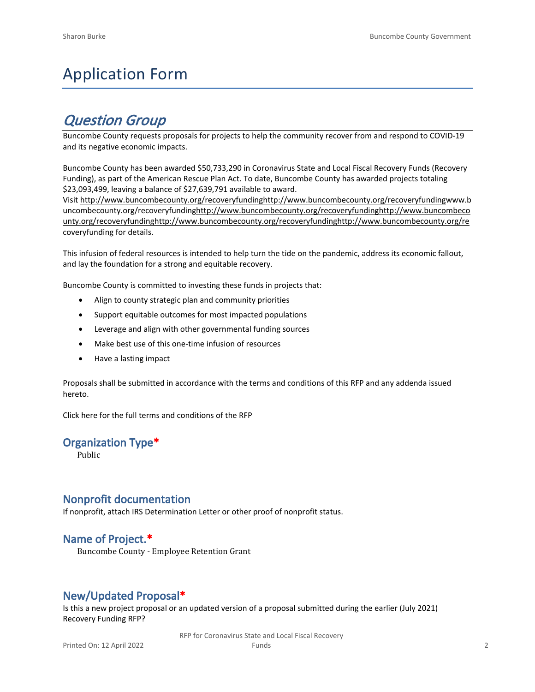# Application Form

## *Question Group*

Buncombe County requests proposals for projects to help the community recover from and respond to COVID-19 and its negative economic impacts.

Buncombe County has been awarded \$50,733,290 in Coronavirus State and Local Fiscal Recovery Funds (Recovery Funding), as part of the American Rescue Plan Act. To date, Buncombe County has awarded projects totaling \$23,093,499, leaving a balance of \$27,639,791 available to award.

Visit [http://www.buncombecounty.org/recoveryfundinghttp://www.buncombecounty.org/recoveryfundingwww.b](http://www.buncombecounty.org/recoveryfunding) [uncombecounty.org/recoveryfundinghttp://www.buncombecounty.org/recoveryfundinghttp://www.buncombeco](http://www.buncombecounty.org/recoveryfunding) [unty.org/recoveryfundinghttp://www.buncombecounty.org/recoveryfundinghttp://www.buncombecounty.org/re](http://www.buncombecounty.org/recoveryfunding) [coveryfunding](http://www.buncombecounty.org/recoveryfunding) for details.

This infusion of federal resources is intended to help turn the tide on the pandemic, address its economic fallout, and lay the foundation for a strong and equitable recovery.

Buncombe County is committed to investing these funds in projects that:

- Align to county strategic plan and community priorities
- Support equitable outcomes for most impacted populations
- Leverage and align with other governmental funding sources
- Make best use of this one-time infusion of resources
- Have a lasting impact

Proposals shall be submitted in accordance with the terms and conditions of this RFP and any addenda issued hereto.

Click [here](https://www.buncombecounty.org/common/purchasing/Buncombe%20Recovery%20Funding%20RFP%202022.pdf) for the full terms and conditions of the RFP

## **Organization Type\***

Public

## **Nonprofit documentation**

If nonprofit, attach IRS Determination Letter or other proof of nonprofit status.

## **Name of Project.\***

Buncombe County - Employee Retention Grant

## **New/Updated Proposal\***

Is this a new project proposal or an updated version of a proposal submitted during the earlier (July 2021) Recovery Funding RFP?

> RFP for Coronavirus State and Local Fiscal Recovery Funds 2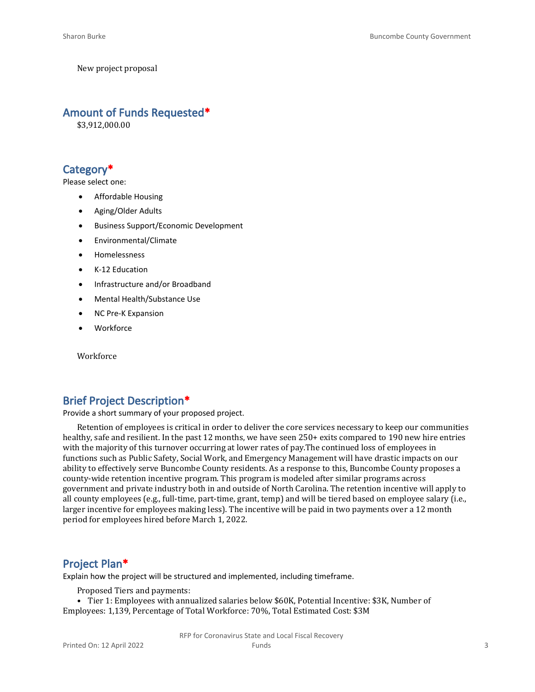New project proposal

#### **Amount of Funds Requested\***

\$3,912,000.00

## **Category\***

Please select one:

- Affordable Housing
- Aging/Older Adults
- Business Support/Economic Development
- Environmental/Climate
- Homelessness
- K-12 Education
- Infrastructure and/or Broadband
- Mental Health/Substance Use
- NC Pre-K Expansion
- **Workforce**

**Workforce** 

## **Brief Project Description\***

Provide a short summary of your proposed project.

Retention of employees is critical in order to deliver the core services necessary to keep our communities healthy, safe and resilient. In the past 12 months, we have seen 250+ exits compared to 190 new hire entries with the majority of this turnover occurring at lower rates of pay.The continued loss of employees in functions such as Public Safety, Social Work, and Emergency Management will have drastic impacts on our ability to effectively serve Buncombe County residents. As a response to this, Buncombe County proposes a county-wide retention incentive program. This program is modeled after similar programs across government and private industry both in and outside of North Carolina. The retention incentive will apply to all county employees (e.g., full-time, part-time, grant, temp) and will be tiered based on employee salary (i.e., larger incentive for employees making less). The incentive will be paid in two payments over a 12 month period for employees hired before March 1, 2022.

## **Project Plan\***

Explain how the project will be structured and implemented, including timeframe.

Proposed Tiers and payments:

• Tier 1: Employees with annualized salaries below \$60K, Potential Incentive: \$3K, Number of Employees: 1,139, Percentage of Total Workforce: 70%, Total Estimated Cost: \$3M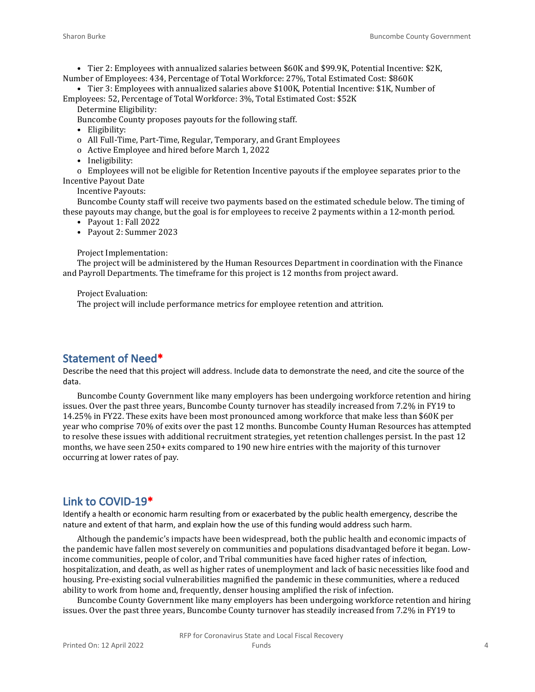• Tier 2: Employees with annualized salaries between \$60K and \$99.9K, Potential Incentive: \$2K, Number of Employees: 434, Percentage of Total Workforce: 27%, Total Estimated Cost: \$860K

• Tier 3: Employees with annualized salaries above \$100K, Potential Incentive: \$1K, Number of Employees: 52, Percentage of Total Workforce: 3%, Total Estimated Cost: \$52K

Determine Eligibility:

Buncombe County proposes payouts for the following staff.

- Eligibility:
- o All Full-Time, Part-Time, Regular, Temporary, and Grant Employees
- o Active Employee and hired before March 1, 2022
- Ineligibility:

o Employees will not be eligible for Retention Incentive payouts if the employee separates prior to the Incentive Payout Date

Incentive Payouts:

Buncombe County staff will receive two payments based on the estimated schedule below. The timing of these payouts may change, but the goal is for employees to receive 2 payments within a 12-month period.

- Payout 1: Fall 2022
- Payout 2: Summer 2023

#### Project Implementation:

The project will be administered by the Human Resources Department in coordination with the Finance and Payroll Departments. The timeframe for this project is 12 months from project award.

Project Evaluation:

The project will include performance metrics for employee retention and attrition.

#### **Statement of Need\***

Describe the need that this project will address. Include data to demonstrate the need, and cite the source of the data.

Buncombe County Government like many employers has been undergoing workforce retention and hiring issues. Over the past three years, Buncombe County turnover has steadily increased from 7.2% in FY19 to 14.25% in FY22. These exits have been most pronounced among workforce that make less than \$60K per year who comprise 70% of exits over the past 12 months. Buncombe County Human Resources has attempted to resolve these issues with additional recruitment strategies, yet retention challenges persist. In the past 12 months, we have seen 250+ exits compared to 190 new hire entries with the majority of this turnover occurring at lower rates of pay.

#### **Link to COVID-19\***

Identify a health or economic harm resulting from or exacerbated by the public health emergency, describe the nature and extent of that harm, and explain how the use of this funding would address such harm.

Although the pandemic's impacts have been widespread, both the public health and economic impacts of the pandemic have fallen most severely on communities and populations disadvantaged before it began. Lowincome communities, people of color, and Tribal communities have faced higher rates of infection, hospitalization, and death, as well as higher rates of unemployment and lack of basic necessities like food and housing. Pre-existing social vulnerabilities magnified the pandemic in these communities, where a reduced ability to work from home and, frequently, denser housing amplified the risk of infection.

Buncombe County Government like many employers has been undergoing workforce retention and hiring issues. Over the past three years, Buncombe County turnover has steadily increased from 7.2% in FY19 to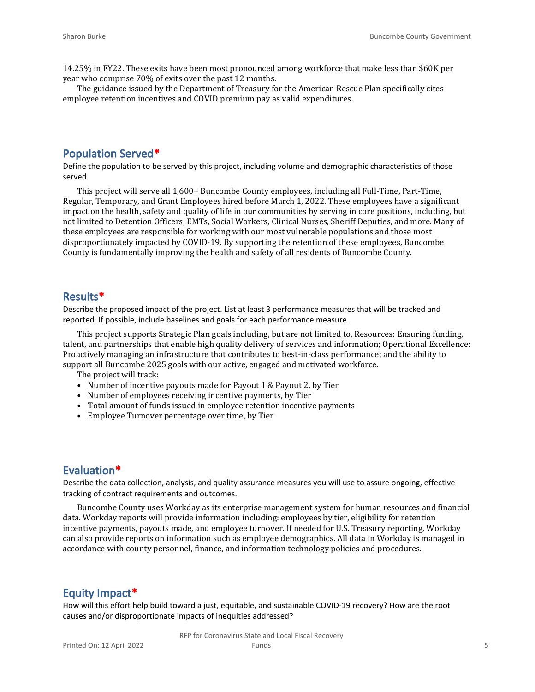14.25% in FY22. These exits have been most pronounced among workforce that make less than \$60K per year who comprise 70% of exits over the past 12 months.

The guidance issued by the Department of Treasury for the American Rescue Plan specifically cites employee retention incentives and COVID premium pay as valid expenditures.

#### **Population Served\***

Define the population to be served by this project, including volume and demographic characteristics of those served.

This project will serve all 1,600+ Buncombe County employees, including all Full-Time, Part-Time, Regular, Temporary, and Grant Employees hired before March 1, 2022. These employees have a significant impact on the health, safety and quality of life in our communities by serving in core positions, including, but not limited to Detention Officers, EMTs, Social Workers, Clinical Nurses, Sheriff Deputies, and more. Many of these employees are responsible for working with our most vulnerable populations and those most disproportionately impacted by COVID-19. By supporting the retention of these employees, Buncombe County is fundamentally improving the health and safety of all residents of Buncombe County.

#### **Results\***

Describe the proposed impact of the project. List at least 3 performance measures that will be tracked and reported. If possible, include baselines and goals for each performance measure.

This project supports Strategic Plan goals including, but are not limited to, Resources: Ensuring funding, talent, and partnerships that enable high quality delivery of services and information; Operational Excellence: Proactively managing an infrastructure that contributes to best-in-class performance; and the ability to support all Buncombe 2025 goals with our active, engaged and motivated workforce.

The project will track:

- Number of incentive payouts made for Payout 1 & Payout 2, by Tier
- Number of employees receiving incentive payments, by Tier
- Total amount of funds issued in employee retention incentive payments
- Employee Turnover percentage over time, by Tier

#### **Evaluation\***

Describe the data collection, analysis, and quality assurance measures you will use to assure ongoing, effective tracking of contract requirements and outcomes.

Buncombe County uses Workday as its enterprise management system for human resources and financial data. Workday reports will provide information including: employees by tier, eligibility for retention incentive payments, payouts made, and employee turnover. If needed for U.S. Treasury reporting, Workday can also provide reports on information such as employee demographics. All data in Workday is managed in accordance with county personnel, finance, and information technology policies and procedures.

#### **Equity Impact\***

How will this effort help build toward a just, equitable, and sustainable COVID-19 recovery? How are the root causes and/or disproportionate impacts of inequities addressed?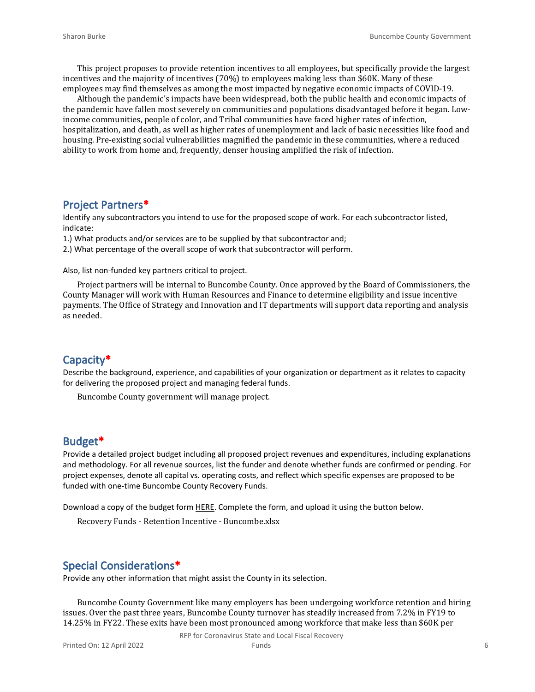This project proposes to provide retention incentives to all employees, but specifically provide the largest incentives and the majority of incentives (70%) to employees making less than \$60K. Many of these employees may find themselves as among the most impacted by negative economic impacts of COVID-19.

Although the pandemic's impacts have been widespread, both the public health and economic impacts of the pandemic have fallen most severely on communities and populations disadvantaged before it began. Lowincome communities, people of color, and Tribal communities have faced higher rates of infection, hospitalization, and death, as well as higher rates of unemployment and lack of basic necessities like food and housing. Pre-existing social vulnerabilities magnified the pandemic in these communities, where a reduced ability to work from home and, frequently, denser housing amplified the risk of infection.

#### **Project Partners\***

Identify any subcontractors you intend to use for the proposed scope of work. For each subcontractor listed, indicate:

1.) What products and/or services are to be supplied by that subcontractor and;

2.) What percentage of the overall scope of work that subcontractor will perform.

Also, list non-funded key partners critical to project.

Project partners will be internal to Buncombe County. Once approved by the Board of Commissioners, the County Manager will work with Human Resources and Finance to determine eligibility and issue incentive payments. The Office of Strategy and Innovation and IT departments will support data reporting and analysis as needed.

#### **Capacity\***

Describe the background, experience, and capabilities of your organization or department as it relates to capacity for delivering the proposed project and managing federal funds.

Buncombe County government will manage project.

#### **Budget\***

Provide a detailed project budget including all proposed project revenues and expenditures, including explanations and methodology. For all revenue sources, list the funder and denote whether funds are confirmed or pending. For project expenses, denote all capital vs. operating costs, and reflect which specific expenses are proposed to be funded with one-time Buncombe County Recovery Funds.

Download a copy of the budget form [HERE](https://buncombecounty.org/common/community-investment/grants/early-childhood-education/Recovery-Funds-budget-template.xlsx). Complete the form, and upload it using the button below.

Recovery Funds - Retention Incentive - Buncombe.xlsx

### **Special Considerations\***

Provide any other information that might assist the County in its selection.

Buncombe County Government like many employers has been undergoing workforce retention and hiring issues. Over the past three years, Buncombe County turnover has steadily increased from 7.2% in FY19 to 14.25% in FY22. These exits have been most pronounced among workforce that make less than \$60K per

RFP for Coronavirus State and Local Fiscal Recovery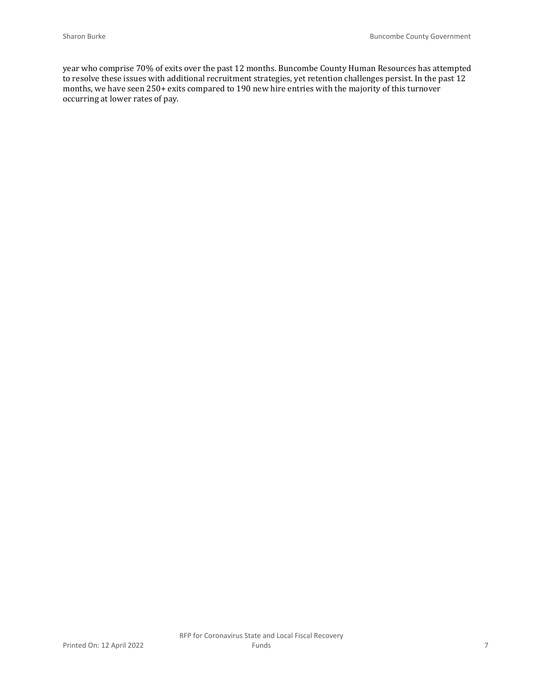year who comprise 70% of exits over the past 12 months. Buncombe County Human Resources has attempted to resolve these issues with additional recruitment strategies, yet retention challenges persist. In the past 12 months, we have seen 250+ exits compared to 190 new hire entries with the majority of this turnover occurring at lower rates of pay.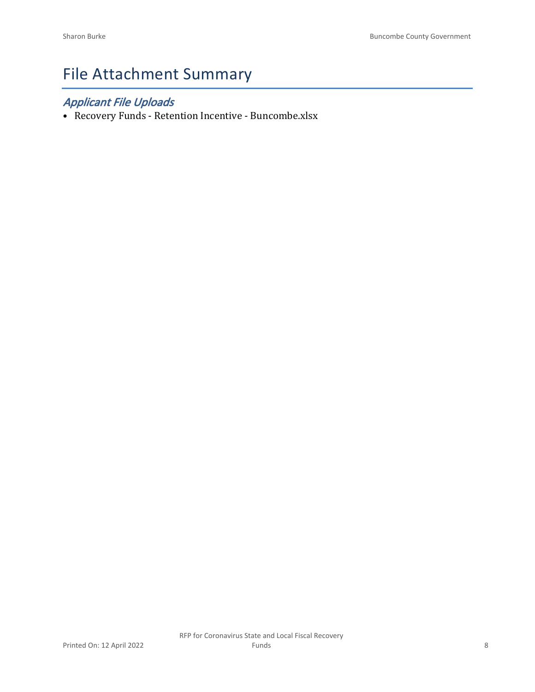# File Attachment Summary

## *Applicant File Uploads*

• Recovery Funds - Retention Incentive - Buncombe.xlsx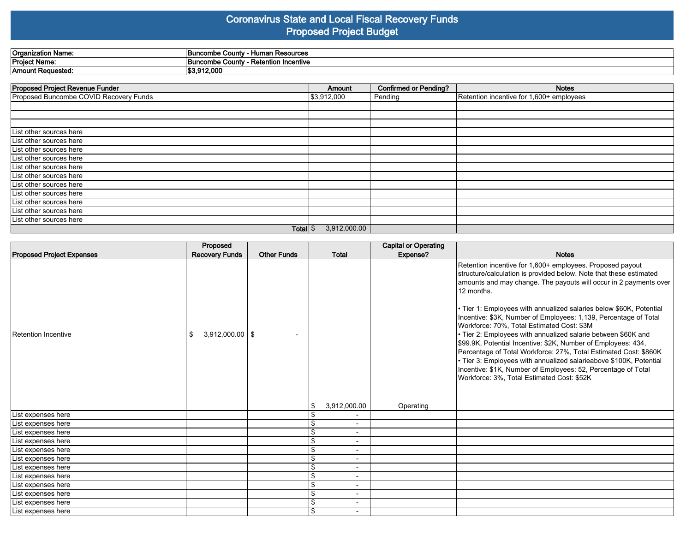### **Coronavirus State and Local Fiscal Recovery Funds Proposed Project Budget**

| <b>Organization Name:</b> | ⊦ Resources<br>$\sim$ County - $\sim$<br><b>Buncombe</b><br>Humar<br>vuum |
|---------------------------|---------------------------------------------------------------------------|
| <b>Project Name:</b>      | в.<br>Retention Incentive<br>↑ County<br><b>Buncombe</b>                  |
| Amount I<br>: Requested:  | 3.912.000                                                                 |

| <b>Proposed Project Revenue Funder</b> | Amount       | <b>Confirmed or Pending?</b> | <b>Notes</b>                             |
|----------------------------------------|--------------|------------------------------|------------------------------------------|
| Proposed Buncombe COVID Recovery Funds | \$3,912,000  | Pending                      | Retention incentive for 1,600+ employees |
|                                        |              |                              |                                          |
|                                        |              |                              |                                          |
|                                        |              |                              |                                          |
| List other sources here                |              |                              |                                          |
| List other sources here                |              |                              |                                          |
| List other sources here                |              |                              |                                          |
| List other sources here                |              |                              |                                          |
| List other sources here                |              |                              |                                          |
| List other sources here                |              |                              |                                          |
| List other sources here                |              |                              |                                          |
| List other sources here                |              |                              |                                          |
| List other sources here                |              |                              |                                          |
| List other sources here                |              |                              |                                          |
| List other sources here                |              |                              |                                          |
| Total $\frac{1}{3}$                    | 3,912,000.00 |                              |                                          |

|                                  | Proposed                  |                    |                          | <b>Capital or Operating</b> |                                                                                                                                                                                                                                                                                                                                                                                                                                                                                                                                                                                                                                                                                                                                                                                                        |
|----------------------------------|---------------------------|--------------------|--------------------------|-----------------------------|--------------------------------------------------------------------------------------------------------------------------------------------------------------------------------------------------------------------------------------------------------------------------------------------------------------------------------------------------------------------------------------------------------------------------------------------------------------------------------------------------------------------------------------------------------------------------------------------------------------------------------------------------------------------------------------------------------------------------------------------------------------------------------------------------------|
| <b>Proposed Project Expenses</b> | <b>Recovery Funds</b>     | <b>Other Funds</b> | <b>Total</b>             | Expense?                    | <b>Notes</b>                                                                                                                                                                                                                                                                                                                                                                                                                                                                                                                                                                                                                                                                                                                                                                                           |
| Retention Incentive              | $3,912,000.00$   \$<br>\$ |                    | 3,912,000.00             | Operating                   | Retention incentive for 1,600+ employees. Proposed payout<br>structure/calculation is provided below. Note that these estimated<br>amounts and may change. The payouts will occur in 2 payments over<br>12 months.<br>• Tier 1: Employees with annualized salaries below \$60K, Potential<br>Incentive: \$3K, Number of Employees: 1,139, Percentage of Total<br>Workforce: 70%, Total Estimated Cost: \$3M<br>• Tier 2: Employees with annualized salarie between \$60K and<br>\$99.9K, Potential Incentive: \$2K, Number of Employees: 434,<br>Percentage of Total Workforce: 27%, Total Estimated Cost: \$860K<br>• Tier 3: Employees with annualized salarieabove \$100K, Potential<br>Incentive: \$1K, Number of Employees: 52, Percentage of Total<br>Workforce: 3%, Total Estimated Cost: \$52K |
| List expenses here               |                           |                    |                          |                             |                                                                                                                                                                                                                                                                                                                                                                                                                                                                                                                                                                                                                                                                                                                                                                                                        |
| List expenses here               |                           |                    | $\blacksquare$           |                             |                                                                                                                                                                                                                                                                                                                                                                                                                                                                                                                                                                                                                                                                                                                                                                                                        |
| List expenses here               |                           |                    | $\overline{\phantom{a}}$ |                             |                                                                                                                                                                                                                                                                                                                                                                                                                                                                                                                                                                                                                                                                                                                                                                                                        |
| List expenses here               |                           |                    | $\overline{\phantom{a}}$ |                             |                                                                                                                                                                                                                                                                                                                                                                                                                                                                                                                                                                                                                                                                                                                                                                                                        |
| List expenses here               |                           |                    |                          |                             |                                                                                                                                                                                                                                                                                                                                                                                                                                                                                                                                                                                                                                                                                                                                                                                                        |
| List expenses here               |                           |                    | $\overline{\phantom{0}}$ |                             |                                                                                                                                                                                                                                                                                                                                                                                                                                                                                                                                                                                                                                                                                                                                                                                                        |
| List expenses here               |                           |                    | $\blacksquare$           |                             |                                                                                                                                                                                                                                                                                                                                                                                                                                                                                                                                                                                                                                                                                                                                                                                                        |
| List expenses here               |                           |                    | $\overline{\phantom{a}}$ |                             |                                                                                                                                                                                                                                                                                                                                                                                                                                                                                                                                                                                                                                                                                                                                                                                                        |
| List expenses here               |                           |                    | $\overline{\phantom{a}}$ |                             |                                                                                                                                                                                                                                                                                                                                                                                                                                                                                                                                                                                                                                                                                                                                                                                                        |
| List expenses here               |                           |                    |                          |                             |                                                                                                                                                                                                                                                                                                                                                                                                                                                                                                                                                                                                                                                                                                                                                                                                        |
| List expenses here               |                           |                    | $\overline{\phantom{a}}$ |                             |                                                                                                                                                                                                                                                                                                                                                                                                                                                                                                                                                                                                                                                                                                                                                                                                        |
| List expenses here               |                           |                    | $\blacksquare$           |                             |                                                                                                                                                                                                                                                                                                                                                                                                                                                                                                                                                                                                                                                                                                                                                                                                        |